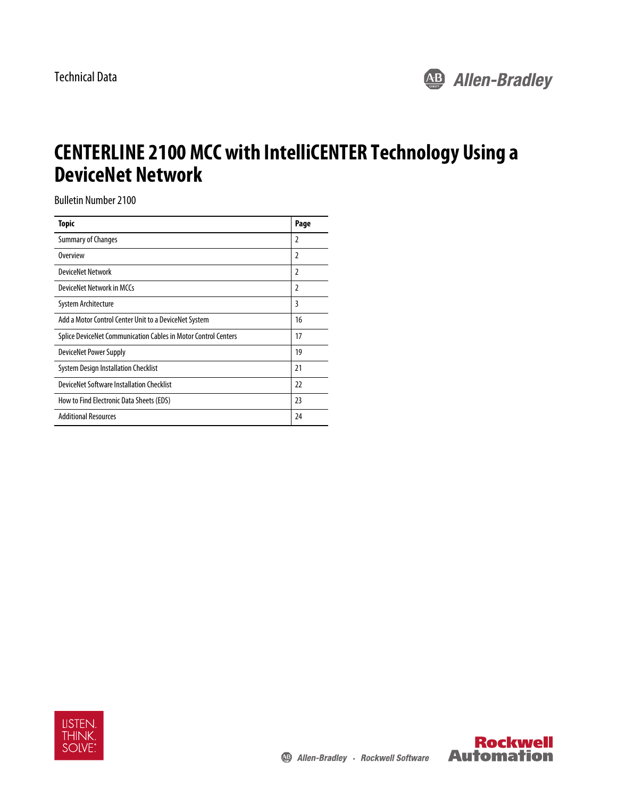

# **CENTERLINE 2100 MCC with IntelliCENTER Technology Using a DeviceNet Network**

Bulletin Number 2100

| <b>Topic</b>                                                          | Page           |
|-----------------------------------------------------------------------|----------------|
| Summary of Changes                                                    | 2              |
| Overview                                                              | 2              |
| <b>DeviceNet Network</b>                                              | $\overline{2}$ |
| DeviceNet Network in MCCs                                             | 2              |
| System Architecture                                                   | 3              |
| Add a Motor Control Center Unit to a DeviceNet System                 | 16             |
| <b>Splice DeviceNet Communication Cables in Motor Control Centers</b> | 17             |
| <b>DeviceNet Power Supply</b>                                         | 19             |
| <b>System Design Installation Checklist</b>                           | 21             |
| DeviceNet Software Installation Checklist                             | 22             |
| How to Find Electronic Data Sheets (EDS)                              | 23             |
| <b>Additional Resources</b>                                           | 24             |



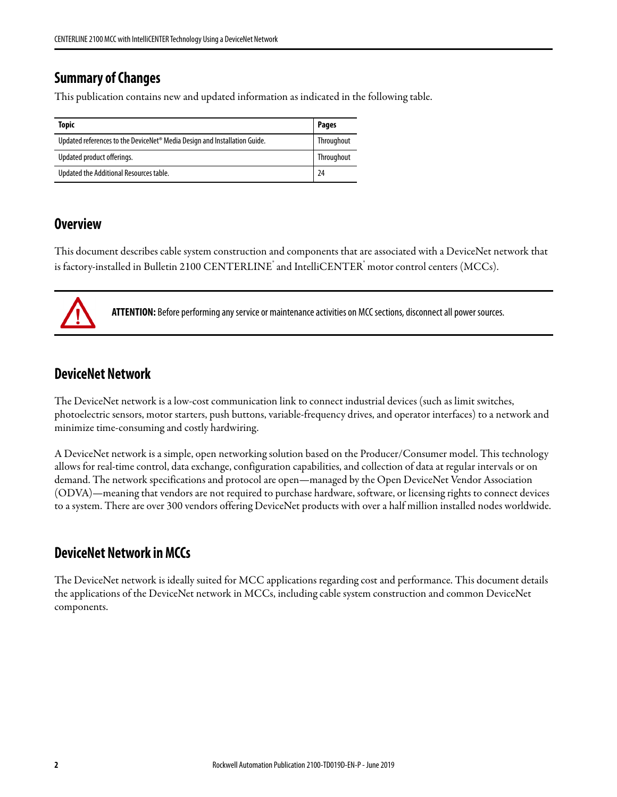# <span id="page-1-0"></span>**Summary of Changes**

This publication contains new and updated information as indicated in the following table.

| Topic                                                                                 | <b>Pages</b> |
|---------------------------------------------------------------------------------------|--------------|
| Updated references to the DeviceNet <sup>®</sup> Media Design and Installation Guide. | Throughout   |
| Updated product offerings.                                                            | Throughout   |
| Updated the Additional Resources table.                                               | 24           |

# <span id="page-1-1"></span>**Overview**

This document describes cable system construction and components that are associated with a DeviceNet network that is factory-installed in Bulletin 2100 CENTERLINE $\degree$  and IntelliCENTER $\degree$  motor control centers (MCCs).

**ATTENTION:** Before performing any service or maintenance activities on MCC sections, disconnect all power sources.

# <span id="page-1-2"></span>**DeviceNet Network**

The DeviceNet network is a low-cost communication link to connect industrial devices (such as limit switches, photoelectric sensors, motor starters, push buttons, variable-frequency drives, and operator interfaces) to a network and minimize time-consuming and costly hardwiring.

A DeviceNet network is a simple, open networking solution based on the Producer/Consumer model. This technology allows for real-time control, data exchange, configuration capabilities, and collection of data at regular intervals or on demand. The network specifications and protocol are open—managed by the Open DeviceNet Vendor Association (ODVA)—meaning that vendors are not required to purchase hardware, software, or licensing rights to connect devices to a system. There are over 300 vendors offering DeviceNet products with over a half million installed nodes worldwide.

# <span id="page-1-3"></span>**DeviceNet Network in MCCs**

The DeviceNet network is ideally suited for MCC applications regarding cost and performance. This document details the applications of the DeviceNet network in MCCs, including cable system construction and common DeviceNet components.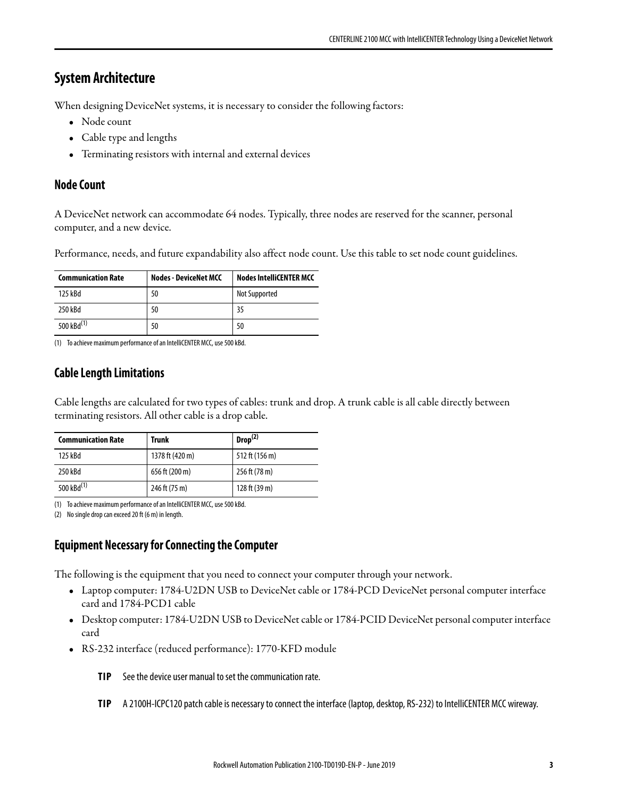# <span id="page-2-0"></span>**System Architecture**

When designing DeviceNet systems, it is necessary to consider the following factors:

- Node count
- Cable type and lengths
- Terminating resistors with internal and external devices

# **Node Count**

A DeviceNet network can accommodate 64 nodes. Typically, three nodes are reserved for the scanner, personal computer, and a new device.

Performance, needs, and future expandability also affect node count. Use this table to set node count guidelines.

| <b>Communication Rate</b> | <b>Nodes - DeviceNet MCC</b> | <b>Nodes IntelliCENTER MCC</b> |
|---------------------------|------------------------------|--------------------------------|
| 125 kBd                   | 50                           | Not Supported                  |
| 250 kBd                   | 50                           | 35                             |
| 500 kBd <sup>(1)</sup>    | 50                           | 50                             |

(1) To achieve maximum performance of an IntelliCENTER MCC, use 500 kBd.

# **Cable Length Limitations**

Cable lengths are calculated for two types of cables: trunk and drop. A trunk cable is all cable directly between terminating resistors. All other cable is a drop cable.

| <b>Communication Rate</b> | Trunk           | Drop <sup>(2)</sup> |
|---------------------------|-----------------|---------------------|
| 125 kBd                   | 1378 ft (420 m) | 512 ft (156 m)      |
| 250 kBd                   | 656 ft (200 m)  | 256 ft (78 m)       |
| 500 kBd <sup>(1)</sup>    | 246 ft (75 m)   | 128 ft (39 m)       |

(1) To achieve maximum performance of an IntelliCENTER MCC, use 500 kBd.

(2) No single drop can exceed 20 ft (6 m) in length.

# **Equipment Necessary for Connecting the Computer**

The following is the equipment that you need to connect your computer through your network.

- Laptop computer: 1784-U2DN USB to DeviceNet cable or 1784-PCD DeviceNet personal computer interface card and 1784-PCD1 cable
- Desktop computer: 1784-U2DN USB to DeviceNet cable or 1784-PCID DeviceNet personal computer interface card
- RS-232 interface (reduced performance): 1770-KFD module
	- **TIP** See the device user manual to set the communication rate.
	- **TIP** A 2100H-ICPC120 patch cable is necessary to connect the interface (laptop, desktop, RS-232) to IntelliCENTER MCC wireway.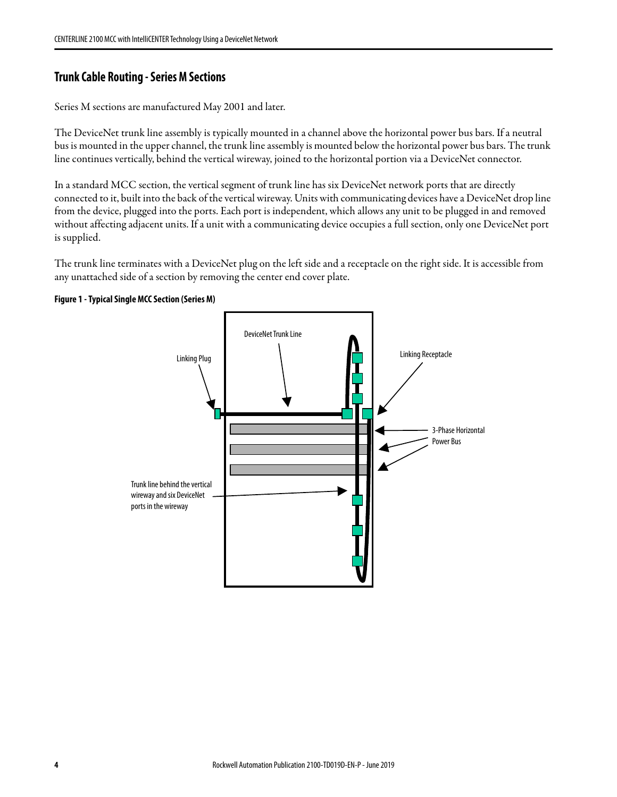### **Trunk Cable Routing - Series M Sections**

Series M sections are manufactured May 2001 and later.

The DeviceNet trunk line assembly is typically mounted in a channel above the horizontal power bus bars. If a neutral bus is mounted in the upper channel, the trunk line assembly is mounted below the horizontal power bus bars. The trunk line continues vertically, behind the vertical wireway, joined to the horizontal portion via a DeviceNet connector.

In a standard MCC section, the vertical segment of trunk line has six DeviceNet network ports that are directly connected to it, built into the back of the vertical wireway. Units with communicating devices have a DeviceNet drop line from the device, plugged into the ports. Each port is independent, which allows any unit to be plugged in and removed without affecting adjacent units. If a unit with a communicating device occupies a full section, only one DeviceNet port is supplied.

The trunk line terminates with a DeviceNet plug on the left side and a receptacle on the right side. It is accessible from any unattached side of a section by removing the center end cover plate.



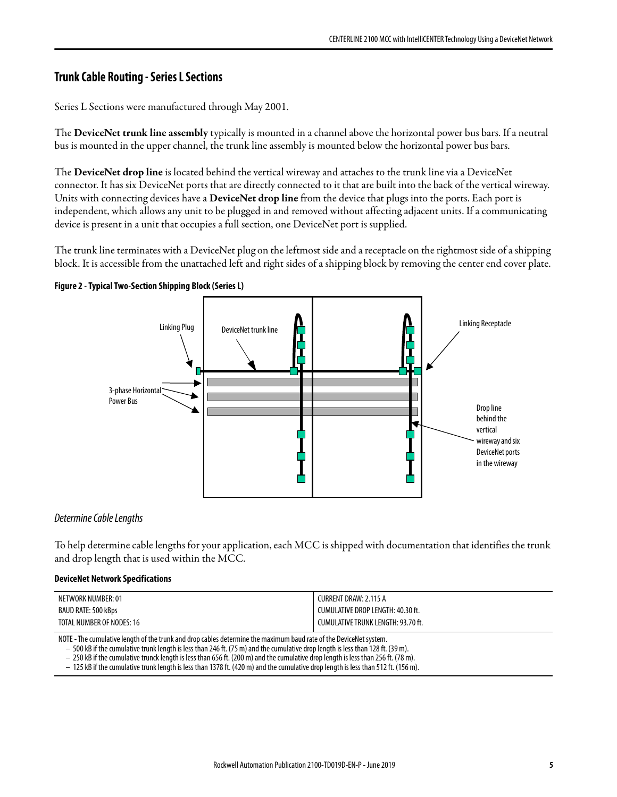# **Trunk Cable Routing - Series L Sections**

Series L Sections were manufactured through May 2001.

The **DeviceNet trunk line assembly** typically is mounted in a channel above the horizontal power bus bars. If a neutral bus is mounted in the upper channel, the trunk line assembly is mounted below the horizontal power bus bars.

The **DeviceNet drop line** is located behind the vertical wireway and attaches to the trunk line via a DeviceNet connector. It has six DeviceNet ports that are directly connected to it that are built into the back of the vertical wireway. Units with connecting devices have a **DeviceNet drop line** from the device that plugs into the ports. Each port is independent, which allows any unit to be plugged in and removed without affecting adjacent units. If a communicating device is present in a unit that occupies a full section, one DeviceNet port is supplied.

The trunk line terminates with a DeviceNet plug on the leftmost side and a receptacle on the rightmost side of a shipping block. It is accessible from the unattached left and right sides of a shipping block by removing the center end cover plate.





#### Determine Cable Lengths

To help determine cable lengths for your application, each MCC is shipped with documentation that identifies the trunk and drop length that is used within the MCC.

#### **DeviceNet Network Specifications**

| NETWORK NUMBER: 01        | <b>CURRENT DRAW: 2.115 A</b>       |
|---------------------------|------------------------------------|
| BAUD RATE: 500 kBps       | CUMULATIVE DROP LENGTH: 40.30 ft.  |
| TOTAL NUMBER OF NODES: 16 | CUMULATIVE TRUNK LENGTH: 93.70 ft. |

NOTE - The cumulative length of the trunk and drop cables determine the maximum baud rate of the DeviceNet system.

– 500 kB if the cumulative trunk length is less than 246 ft. (75 m) and the cumulative drop length is less than 128 ft. (39 m).

– 250 kB if the cumulative trunck length is less than 656 ft. (200 m) and the cumulative drop length is less than 256 ft. (78 m).

– 125 kB if the cumulative trunk length is less than 1378 ft. (420 m) and the cumulative drop length is less than 512 ft. (156 m).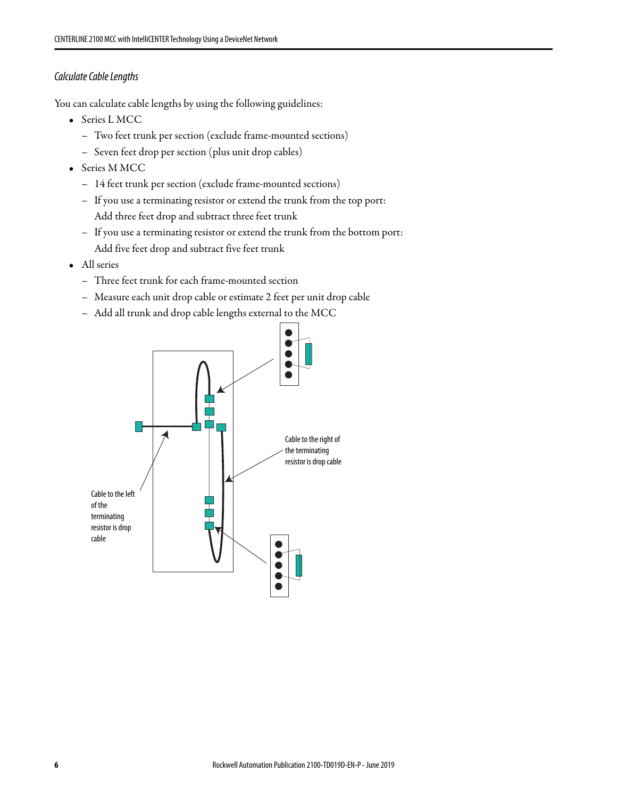### <span id="page-5-0"></span>Calculate Cable Lengths

You can calculate cable lengths by using the following guidelines:

- Series L MCC
	- Two feet trunk per section (exclude frame-mounted sections)
	- Seven feet drop per section (plus unit drop cables)
- Series M MCC
	- 14 feet trunk per section (exclude frame-mounted sections)
	- If you use a terminating resistor or extend the trunk from the top port: Add three feet drop and subtract three feet trunk
	- If you use a terminating resistor or extend the trunk from the bottom port: Add five feet drop and subtract five feet trunk
- All series
	- Three feet trunk for each frame-mounted section
	- Measure each unit drop cable or estimate 2 feet per unit drop cable
	- Add all trunk and drop cable lengths external to the MCC

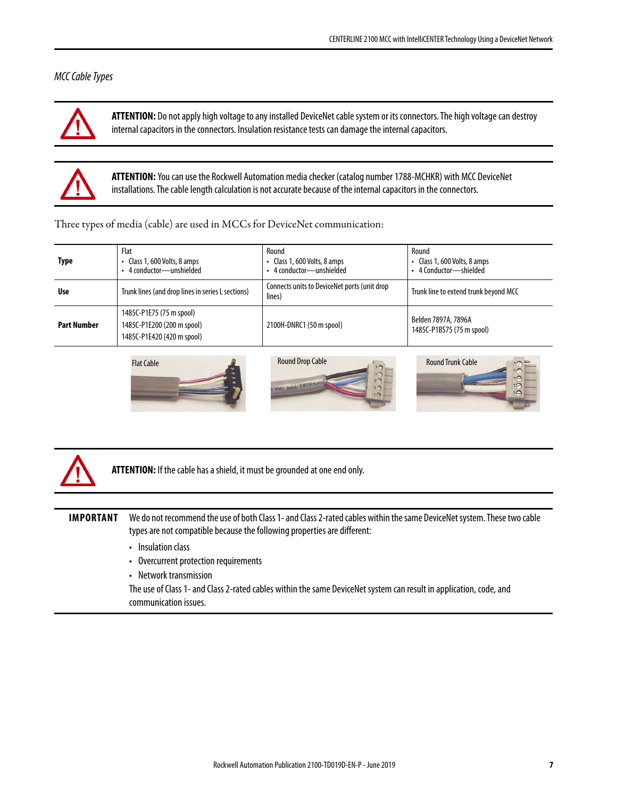### MCC Cable Types



**ATTENTION:** Do not apply high voltage to any installed DeviceNet cable system or its connectors. The high voltage can destroy internal capacitors in the connectors. Insulation resistance tests can damage the internal capacitors.



**ATTENTION:** You can use the Rockwell Automation media checker (catalog number 1788-MCHKR) with MCC DeviceNet installations. The cable length calculation is not accurate because of the internal capacitors in the connectors.

Three types of media (cable) are used in MCCs for DeviceNet communication:

| <b>Type</b>        | Flat<br>• Class 1, 600 Volts, 8 amps<br>• 4 conductor-unshielded                     | Round<br>• Class 1, 600 Volts, 8 amps<br>4 conductor—unshielded | Round<br>• Class 1, 600 Volts, 8 amps<br>4 Conductor—shielded |
|--------------------|--------------------------------------------------------------------------------------|-----------------------------------------------------------------|---------------------------------------------------------------|
| <b>Use</b>         | Trunk lines (and drop lines in series L sections)                                    | Connects units to DeviceNet ports (unit drop<br>lines)          | Trunk line to extend trunk beyond MCC                         |
| <b>Part Number</b> | 1485C-P1E75 (75 m spool)<br>1485C-P1E200 (200 m spool)<br>1485C-P1E420 (420 m spool) | 2100H-DNRC1 (50 m spool)                                        | Belden 7897A, 7896A<br>1485C-P1BS75 (75 m spool)              |









**ATTENTION:** If the cable has a shield, it must be grounded at one end only.

**IMPORTANT** We do not recommend the use of both Class 1- and Class 2-rated cables within the same DeviceNet system. These two cable types are not compatible because the following properties are different:

- Insulation class
- Overcurrent protection requirements
- Network transmission

The use of Class 1- and Class 2-rated cables within the same DeviceNet system can result in application, code, and communication issues.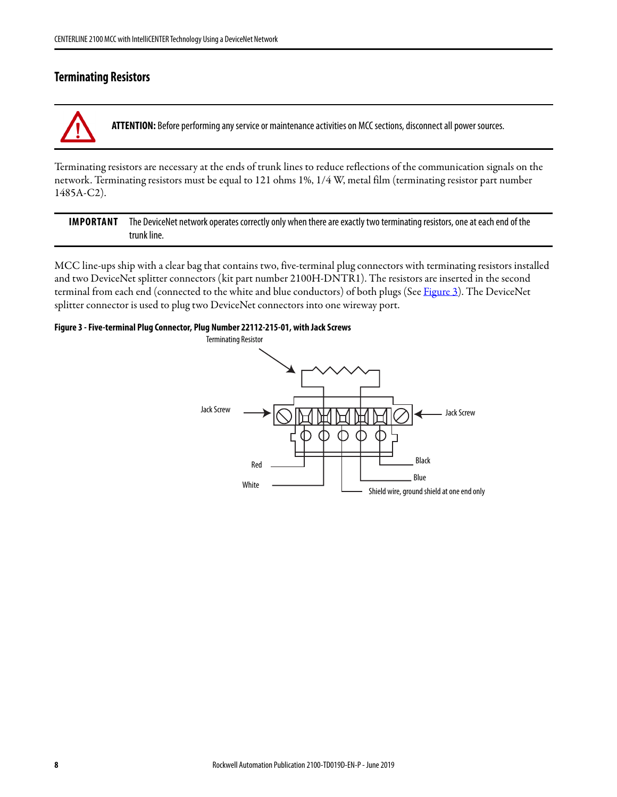### <span id="page-7-1"></span>**Terminating Resistors**

**ATTENTION:** Before performing any service or maintenance activities on MCC sections, disconnect all power sources.

Terminating resistors are necessary at the ends of trunk lines to reduce reflections of the communication signals on the network. Terminating resistors must be equal to 121 ohms 1%, 1/4 W, metal film (terminating resistor part number 1485A-C2).

**IMPORTANT** The DeviceNet network operates correctly only when there are exactly two terminating resistors, one at each end of the trunk line.

MCC line-ups ship with a clear bag that contains two, five-terminal plug connectors with terminating resistors installed and two DeviceNet splitter connectors (kit part number 2100H-DNTR1). The resistors are inserted in the second terminal from each end (connected to the white and blue conductors) of both plugs (See [Figure 3](#page-7-0)). The DeviceNet splitter connector is used to plug two DeviceNet connectors into one wireway port.

#### <span id="page-7-0"></span>**Figure 3 - Five-terminal Plug Connector, Plug Number 22112-215-01, with Jack Screws**

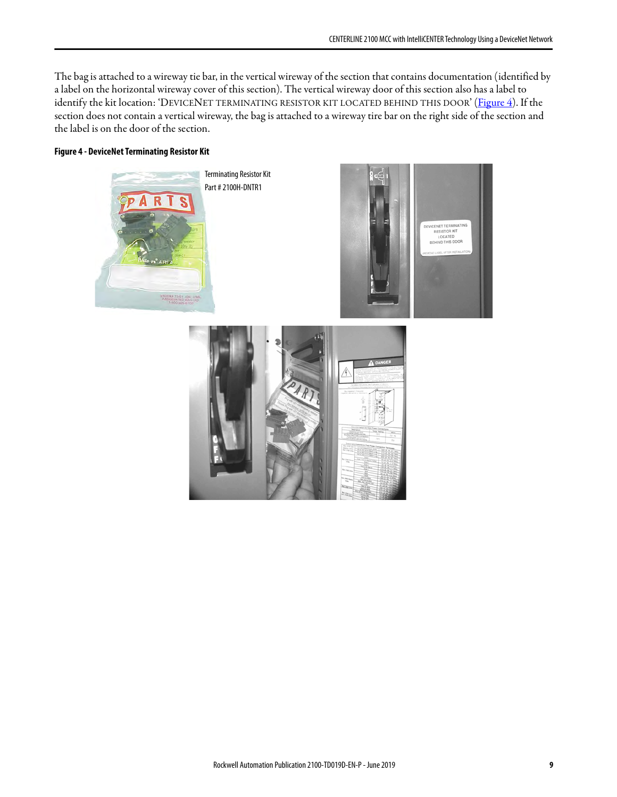The bag is attached to a wireway tie bar, in the vertical wireway of the section that contains documentation (identified by a label on the horizontal wireway cover of this section). The vertical wireway door of this section also has a label to identify the kit location: 'DEVICENET TERMINATING RESISTOR KIT LOCATED BEHIND THIS DOOR' [\(Figure 4](#page-8-0)). If the section does not contain a vertical wireway, the bag is attached to a wireway tire bar on the right side of the section and the label is on the door of the section.

#### <span id="page-8-0"></span>**Figure 4 - DeviceNet Terminating Resistor Kit**

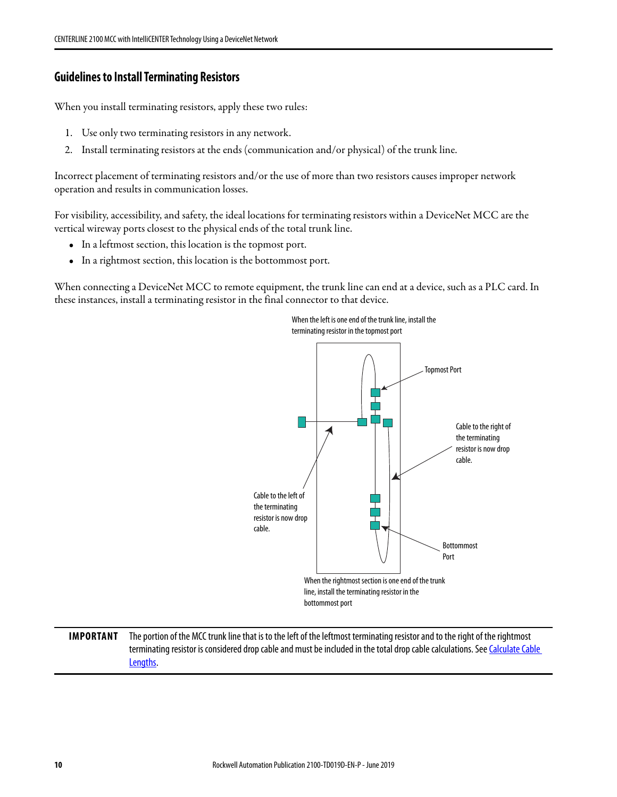### **Guidelines to Install Terminating Resistors**

When you install terminating resistors, apply these two rules:

- 1. Use only two terminating resistors in any network.
- 2. Install terminating resistors at the ends (communication and/or physical) of the trunk line.

Incorrect placement of terminating resistors and/or the use of more than two resistors causes improper network operation and results in communication losses.

For visibility, accessibility, and safety, the ideal locations for terminating resistors within a DeviceNet MCC are the vertical wireway ports closest to the physical ends of the total trunk line.

- In a leftmost section, this location is the topmost port.
- In a rightmost section, this location is the bottommost port.

When connecting a DeviceNet MCC to remote equipment, the trunk line can end at a device, such as a PLC card. In these instances, install a terminating resistor in the final connector to that device.



**IMPORTANT** The portion of the MCC trunk line that is to the left of the leftmost terminating resistor and to the right of the rightmost terminating resistor is considered drop cable and must be included in the total drop cable calculations. See Calculate Cable [Lengths](#page-5-0).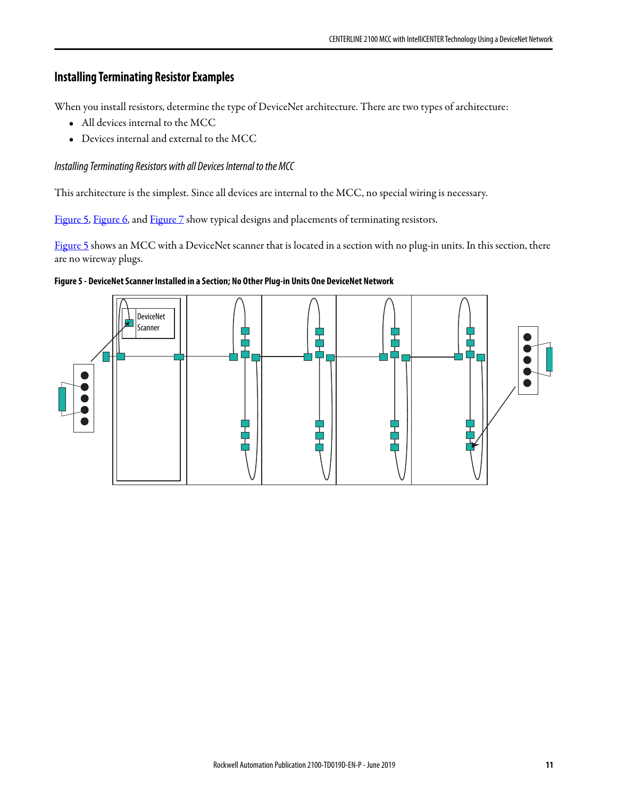# **Installing Terminating Resistor Examples**

When you install resistors, determine the type of DeviceNet architecture. There are two types of architecture:

- All devices internal to the MCC
- Devices internal and external to the MCC

### Installing Terminating Resistors with all Devices Internal to the MCC

This architecture is the simplest. Since all devices are internal to the MCC, no special wiring is necessary.

[Figure 5](#page-10-0), [Figure 6,](#page-11-0) and [Figure 7](#page-11-1) show typical designs and placements of terminating resistors.

[Figure 5](#page-10-0) shows an MCC with a DeviceNet scanner that is located in a section with no plug-in units. In this section, there are no wireway plugs.



#### <span id="page-10-0"></span>**Figure 5 - DeviceNet Scanner Installed in a Section; No Other Plug-in Units One DeviceNet Network**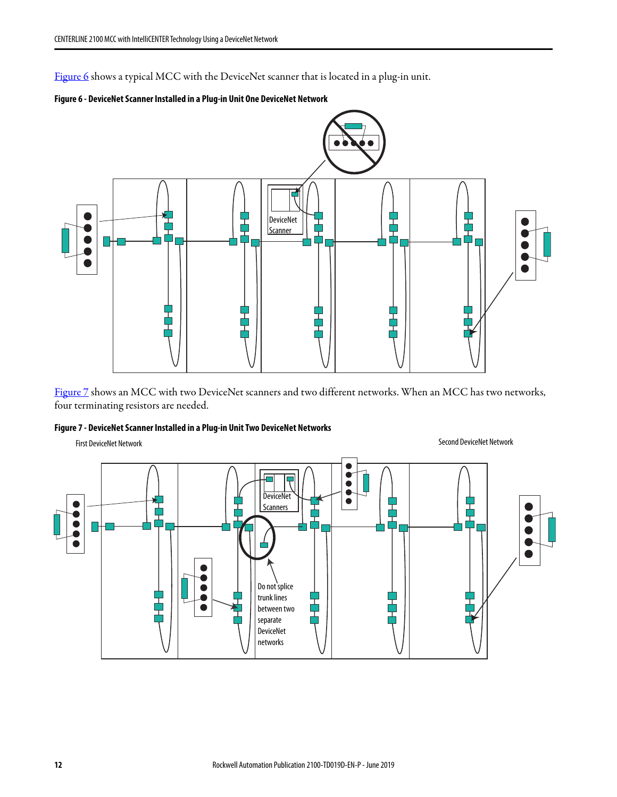[Figure 6](#page-11-0) shows a typical MCC with the DeviceNet scanner that is located in a plug-in unit.

<span id="page-11-0"></span>



[Figure 7](#page-11-1) shows an MCC with two DeviceNet scanners and two different networks. When an MCC has two networks, four terminating resistors are needed.

#### <span id="page-11-1"></span>**Figure 7 - DeviceNet Scanner Installed in a Plug-in Unit Two DeviceNet Networks**

First DeviceNet Network Second DeviceNet Network

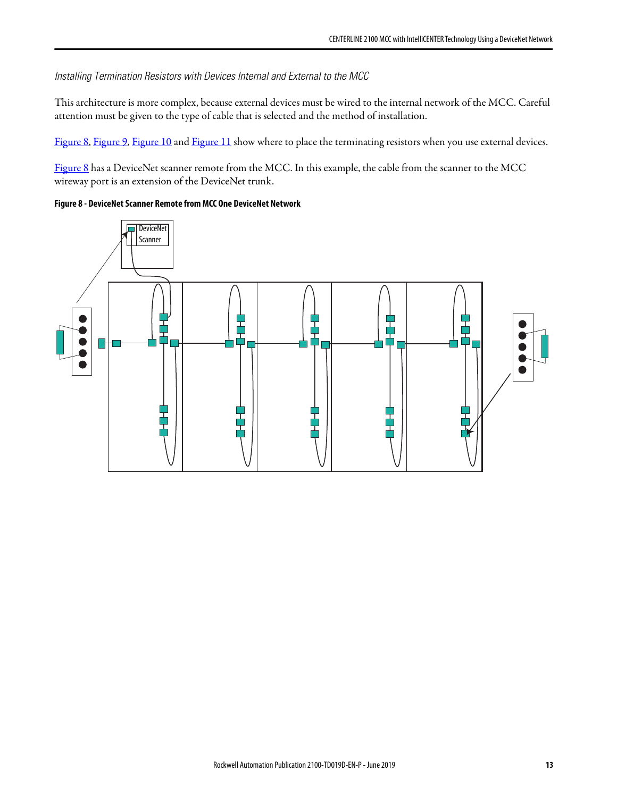Installing Termination Resistors with Devices Internal and External to the MCC

This architecture is more complex, because external devices must be wired to the internal network of the MCC. Careful attention must be given to the type of cable that is selected and the method of installation.

[Figure 8](#page-12-0), [Figure 9,](#page-13-0) [Figure 10](#page-14-0) and [Figure 11](#page-14-1) show where to place the terminating resistors when you use external devices.

[Figure 8](#page-12-0) has a DeviceNet scanner remote from the MCC. In this example, the cable from the scanner to the MCC wireway port is an extension of the DeviceNet trunk.

#### <span id="page-12-0"></span>**Figure 8 - DeviceNet Scanner Remote from MCC One DeviceNet Network**

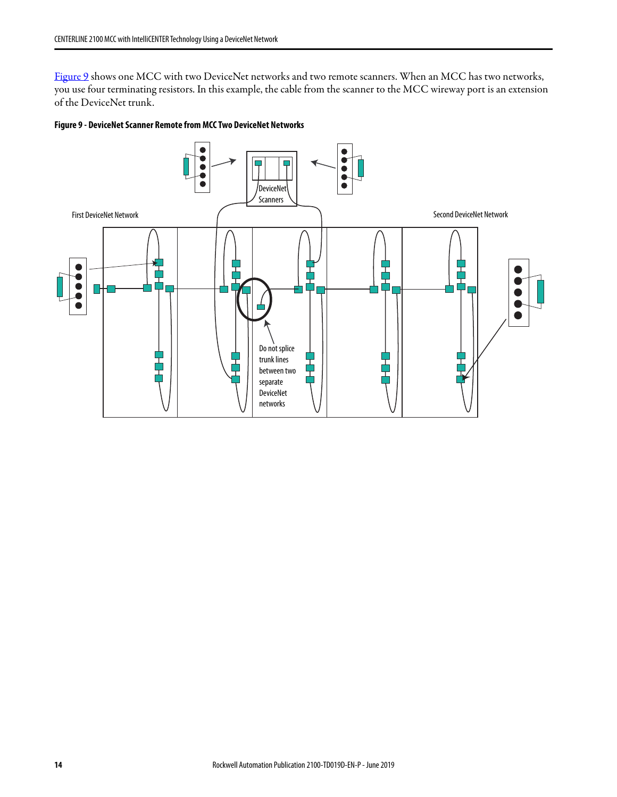[Figure 9](#page-13-0) shows one MCC with two DeviceNet networks and two remote scanners. When an MCC has two networks, you use four terminating resistors. In this example, the cable from the scanner to the MCC wireway port is an extension of the DeviceNet trunk.

#### <span id="page-13-0"></span>**Figure 9 - DeviceNet Scanner Remote from MCC Two DeviceNet Networks**

![](_page_13_Figure_3.jpeg)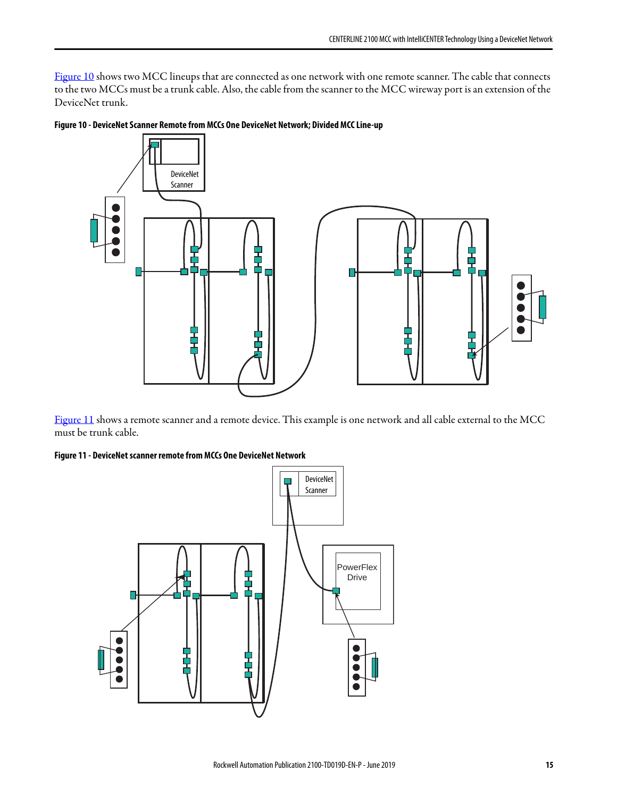[Figure 10](#page-14-0) shows two MCC lineups that are connected as one network with one remote scanner. The cable that connects to the two MCCs must be a trunk cable. Also, the cable from the scanner to the MCC wireway port is an extension of the DeviceNet trunk.

![](_page_14_Figure_2.jpeg)

<span id="page-14-0"></span>**Figure 10 - DeviceNet Scanner Remote from MCCs One DeviceNet Network; Divided MCC Line-up**

[Figure 11](#page-14-1) shows a remote scanner and a remote device. This example is one network and all cable external to the MCC must be trunk cable.

<span id="page-14-1"></span>**Figure 11 - DeviceNet scanner remote from MCCs One DeviceNet Network**

![](_page_14_Figure_6.jpeg)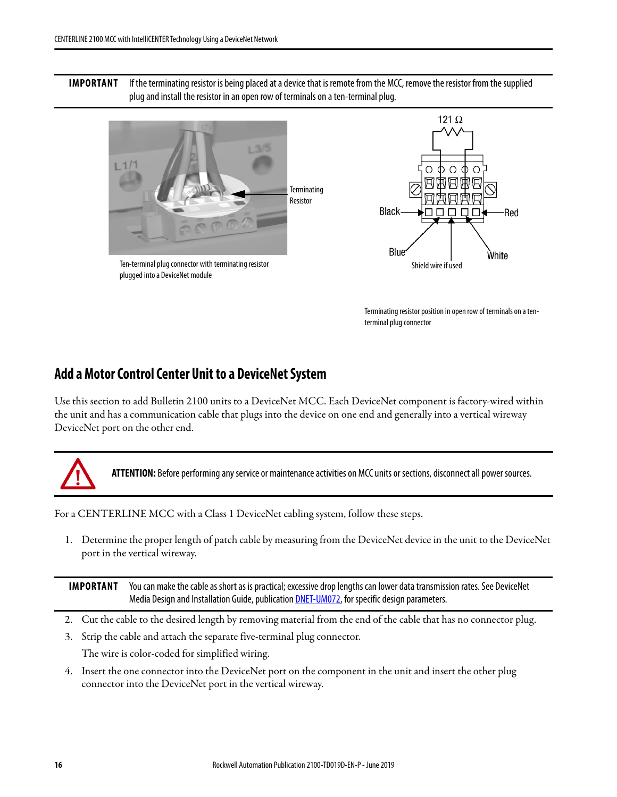**IMPORTANT** If the terminating resistor is being placed at a device that is remote from the MCC, remove the resistor from the supplied plug and install the resistor in an open row of terminals on a ten-terminal plug.

![](_page_15_Picture_2.jpeg)

Terminating resistor position in open row of terminals on a tenterminal plug connector

# <span id="page-15-0"></span>**Add a Motor Control Center Unit to a DeviceNet System**

Use this section to add Bulletin 2100 units to a DeviceNet MCC. Each DeviceNet component is factory-wired within the unit and has a communication cable that plugs into the device on one end and generally into a vertical wireway DeviceNet port on the other end.

![](_page_15_Picture_6.jpeg)

**ATTENTION:** Before performing any service or maintenance activities on MCC units or sections, disconnect all power sources.

For a CENTERLINE MCC with a Class 1 DeviceNet cabling system, follow these steps.

1. Determine the proper length of patch cable by measuring from the DeviceNet device in the unit to the DeviceNet port in the vertical wireway.

**IMPORTANT** You can make the cable as short as is practical; excessive drop lengths can lower data transmission rates. See DeviceNet Media Design and Installation Guide, publication **DNET-UM072**, for specific design parameters.

- 2. Cut the cable to the desired length by removing material from the end of the cable that has no connector plug.
- 3. Strip the cable and attach the separate five-terminal plug connector. The wire is color-coded for simplified wiring.
- 4. Insert the one connector into the DeviceNet port on the component in the unit and insert the other plug connector into the DeviceNet port in the vertical wireway.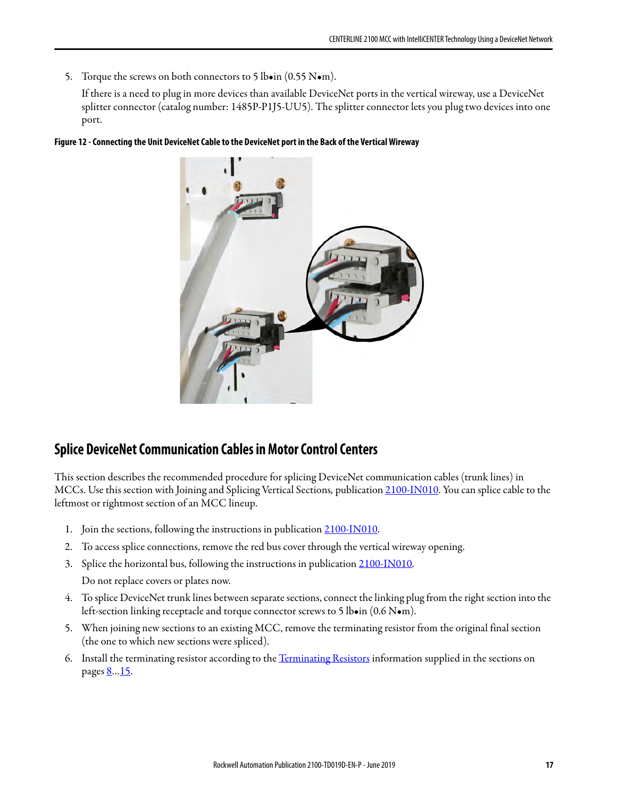5. Torque the screws on both connectors to 5 lboin (0.55 Nom).

If there is a need to plug in more devices than available DeviceNet ports in the vertical wireway, use a DeviceNet splitter connector (catalog number: 1485P-P1J5-UU5). The splitter connector lets you plug two devices into one port.

#### **Figure 12 - Connecting the Unit DeviceNet Cable to the DeviceNet port in the Back of the Vertical Wireway**

![](_page_16_Picture_4.jpeg)

# <span id="page-16-0"></span>**Splice DeviceNet Communication Cables in Motor Control Centers**

This section describes the recommended procedure for splicing DeviceNet communication cables (trunk lines) in MCCs. Use this section with Joining and Splicing Vertical Sections, publication [2100-IN010](https://literature.rockwellautomation.com/idc/groups/literature/documents/in/2100-in010_-en-p.pdf). You can splice cable to the leftmost or rightmost section of an MCC lineup.

- 1. Join the sections, following the instructions in publication [2100-IN010.](https://literature.rockwellautomation.com/idc/groups/literature/documents/in/2100-in010_-en-p.pdf)
- 2. To access splice connections, remove the red bus cover through the vertical wireway opening.
- 3. Splice the horizontal bus, following the instructions in publication [2100-IN010](https://literature.rockwellautomation.com/idc/groups/literature/documents/in/2100-in010_-en-p.pdf). Do not replace covers or plates now.
- 4. To splice DeviceNet trunk lines between separate sections, connect the linking plug from the right section into the left-section linking receptacle and torque connector screws to 5 lb•in (0.6 N•m).
- 5. When joining new sections to an existing MCC, remove the terminating resistor from the original final section (the one to which new sections were spliced).
- 6. Install the terminating resistor according to the [Terminating Resistors](#page-7-1) information supplied in the sections on pages <u>[8](#page-7-1)…15</u>.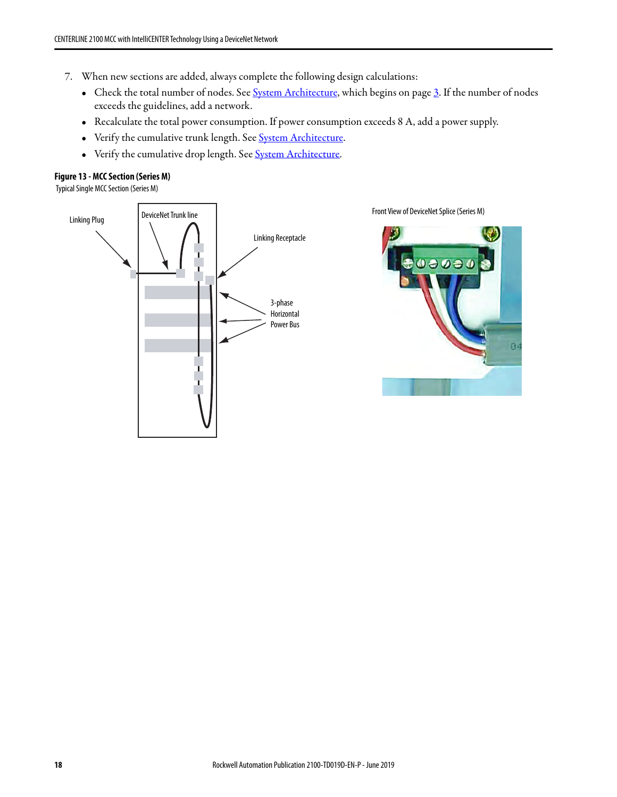- 7. When new sections are added, always complete the following design calculations:
	- Check the total number of nodes. See [System Architecture,](#page-2-0) which begins on page [3.](#page-2-0) If the number of nodes exceeds the guidelines, add a network.
	- Recalculate the total power consumption. If power consumption exceeds 8 A, add a power supply.
	- Verify the cumulative trunk length. See **System Architecture**.
	- Verify the cumulative drop length. See [System Architecture](#page-2-0).

#### **Figure 13 - MCC Section (Series M)**

Typical Single MCC Section (Series M)

![](_page_17_Figure_8.jpeg)

Front View of DeviceNet Splice (Series M)

![](_page_17_Picture_10.jpeg)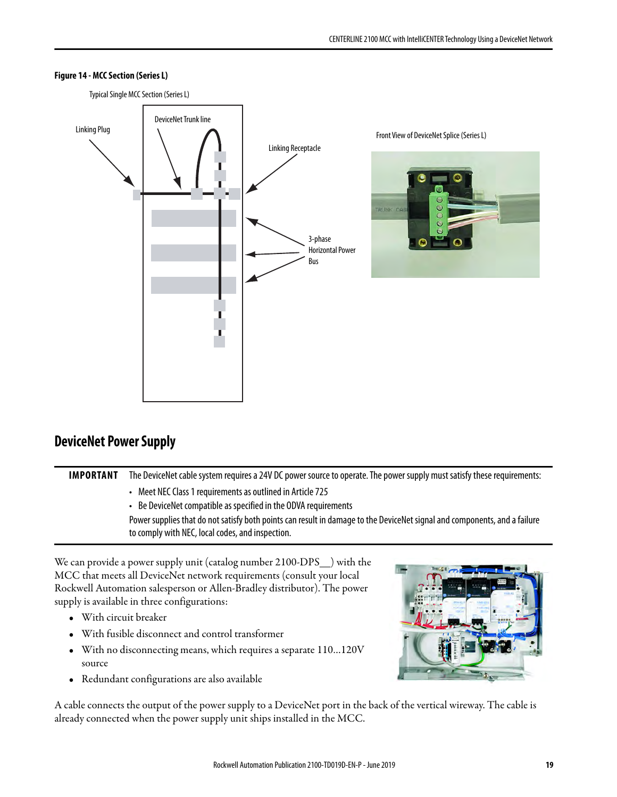![](_page_18_Figure_1.jpeg)

#### **Figure 14 - MCC Section (Series L)**

# <span id="page-18-0"></span>**DeviceNet Power Supply**

| <b>IMPORTANT</b> | The DeviceNet cable system requires a 24V DC power source to operate. The power supply must satisfy these requirements:   |  |
|------------------|---------------------------------------------------------------------------------------------------------------------------|--|
|                  | Meet NEC Class 1 requirements as outlined in Article 725                                                                  |  |
|                  | • Be DeviceNet compatible as specified in the ODVA requirements                                                           |  |
|                  | Power supplies that do not satisfy both points can result in damage to the DeviceNet signal and components, and a failure |  |
|                  | to comply with NEC, local codes, and inspection.                                                                          |  |

We can provide a power supply unit (catalog number 2100-DPS\_\_) with the MCC that meets all DeviceNet network requirements (consult your local Rockwell Automation salesperson or Allen-Bradley distributor). The power supply is available in three configurations:

- With circuit breaker
- With fusible disconnect and control transformer
- With no disconnecting means, which requires a separate 110…120V source
- Redundant configurations are also available

A cable connects the output of the power supply to a DeviceNet port in the back of the vertical wireway. The cable is already connected when the power supply unit ships installed in the MCC.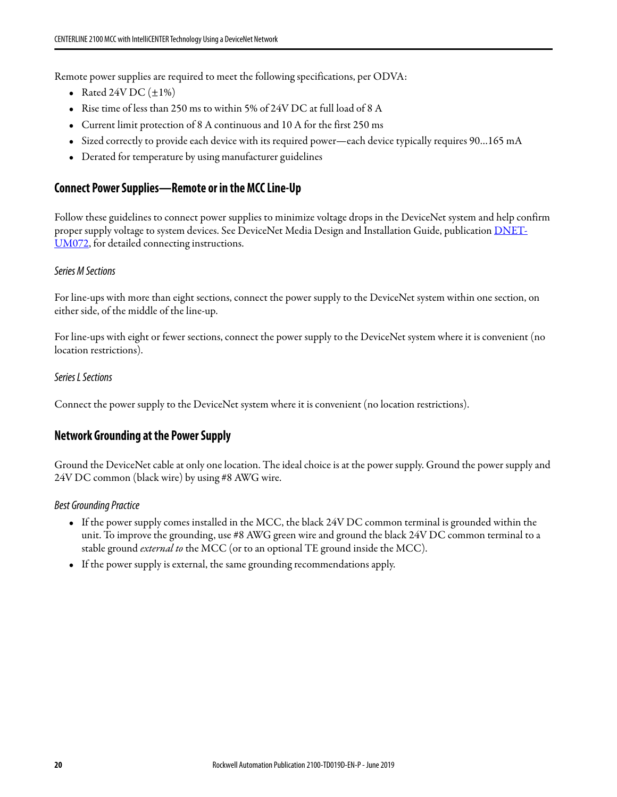Remote power supplies are required to meet the following specifications, per ODVA:

- Rated 24V DC  $(\pm 1\%)$
- Rise time of less than 250 ms to within 5% of 24V DC at full load of 8 A
- Current limit protection of 8 A continuous and 10 A for the first 250 ms
- Sized correctly to provide each device with its required power—each device typically requires 90…165 mA
- Derated for temperature by using manufacturer guidelines

### **Connect Power Supplies—Remote or in the MCC Line-Up**

Follow these guidelines to connect power supplies to minimize voltage drops in the DeviceNet system and help confirm proper supply voltage to system devices. See DeviceNet Media Design and Installation Guide, publication [DNET-](https://literature.rockwellautomation.com/idc/groups/literature/documents/um/dnet-um072_-en-p.pdf)[UM072](https://literature.rockwellautomation.com/idc/groups/literature/documents/um/dnet-um072_-en-p.pdf), for detailed connecting instructions.

### Series M Sections

For line-ups with more than eight sections, connect the power supply to the DeviceNet system within one section, on either side, of the middle of the line-up.

For line-ups with eight or fewer sections, connect the power supply to the DeviceNet system where it is convenient (no location restrictions).

### Series L Sections

Connect the power supply to the DeviceNet system where it is convenient (no location restrictions).

### **Network Grounding at the Power Supply**

Ground the DeviceNet cable at only one location. The ideal choice is at the power supply. Ground the power supply and 24V DC common (black wire) by using #8 AWG wire.

#### Best Grounding Practice

- If the power supply comes installed in the MCC, the black 24V DC common terminal is grounded within the unit. To improve the grounding, use #8 AWG green wire and ground the black 24V DC common terminal to a stable ground *external to* the MCC (or to an optional TE ground inside the MCC).
- If the power supply is external, the same grounding recommendations apply.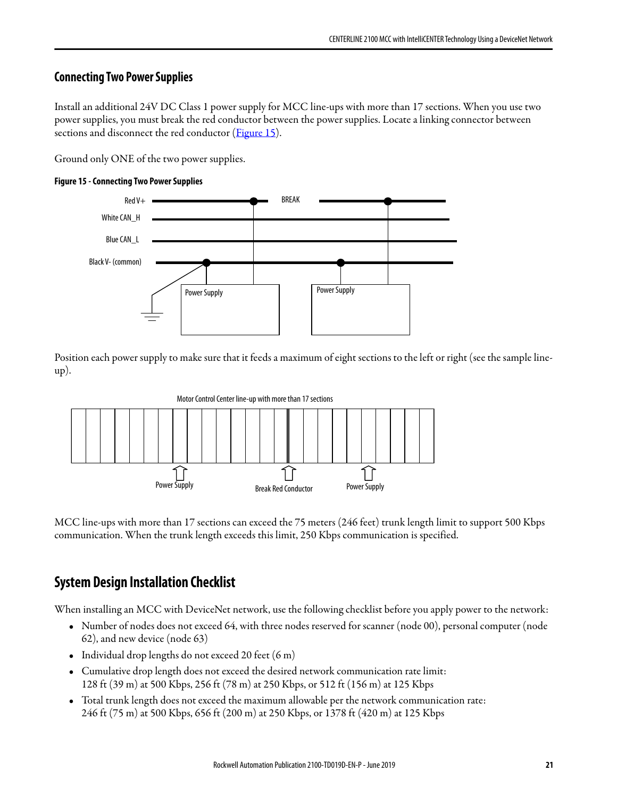# **Connecting Two Power Supplies**

Install an additional 24V DC Class 1 power supply for MCC line-ups with more than 17 sections. When you use two power supplies, you must break the red conductor between the power supplies. Locate a linking connector between sections and disconnect the red conductor [\(Figure 15\)](#page-20-1).

Ground only ONE of the two power supplies.

#### <span id="page-20-1"></span>**Figure 15 - Connecting Two Power Supplies**

![](_page_20_Figure_5.jpeg)

Position each power supply to make sure that it feeds a maximum of eight sections to the left or right (see the sample lineup).

![](_page_20_Figure_7.jpeg)

MCC line-ups with more than 17 sections can exceed the 75 meters (246 feet) trunk length limit to support 500 Kbps communication. When the trunk length exceeds this limit, 250 Kbps communication is specified.

# <span id="page-20-0"></span>**System Design Installation Checklist**

When installing an MCC with DeviceNet network, use the following checklist before you apply power to the network:

- Number of nodes does not exceed 64, with three nodes reserved for scanner (node 00), personal computer (node 62), and new device (node 63)
- Individual drop lengths do not exceed 20 feet (6 m)
- Cumulative drop length does not exceed the desired network communication rate limit: 128 ft (39 m) at 500 Kbps, 256 ft (78 m) at 250 Kbps, or 512 ft (156 m) at 125 Kbps
- Total trunk length does not exceed the maximum allowable per the network communication rate: 246 ft (75 m) at 500 Kbps, 656 ft (200 m) at 250 Kbps, or 1378 ft (420 m) at 125 Kbps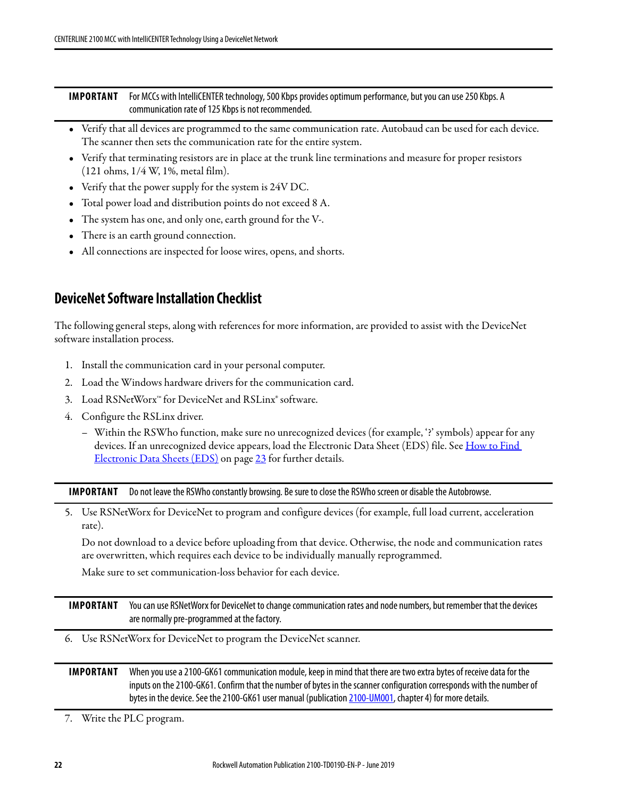| <b>IMPORTANT</b> For MCCs with IntelliCENTER technology, 500 Kbps provides optimum performance, but you can use 250 Kbps. A |  |  |
|-----------------------------------------------------------------------------------------------------------------------------|--|--|
| communication rate of 125 Kbps is not recommended.                                                                          |  |  |

- Verify that all devices are programmed to the same communication rate. Autobaud can be used for each device. The scanner then sets the communication rate for the entire system.
- Verify that terminating resistors are in place at the trunk line terminations and measure for proper resistors (121 ohms, 1/4 W, 1%, metal film).
- Verify that the power supply for the system is 24V DC.
- Total power load and distribution points do not exceed 8 A.
- The system has one, and only one, earth ground for the V-.
- There is an earth ground connection.
- All connections are inspected for loose wires, opens, and shorts.

# <span id="page-21-0"></span>**DeviceNet Software Installation Checklist**

The following general steps, along with references for more information, are provided to assist with the DeviceNet software installation process.

- 1. Install the communication card in your personal computer.
- 2. Load the Windows hardware drivers for the communication card.
- 3. Load RSNetWorx™ for DeviceNet and RSLinx® software.
- 4. Configure the RSLinx driver.
	- Within the RSWho function, make sure no unrecognized devices (for example, '?' symbols) appear for any devices. If an unrecognized device appears, load the Electronic Data Sheet (EDS) file. See How to Find [Electronic Data Sheets \(EDS\) on page](#page-22-0) 23 for further details.

**IMPORTANT** Do not leave the RSWho constantly browsing. Be sure to close the RSWho screen or disable the Autobrowse.

5. Use RSNetWorx for DeviceNet to program and configure devices (for example, full load current, acceleration rate).

Do not download to a device before uploading from that device. Otherwise, the node and communication rates are overwritten, which requires each device to be individually manually reprogrammed.

Make sure to set communication-loss behavior for each device.

**IMPORTANT** You can use RSNetWorx for DeviceNet to change communication rates and node numbers, but remember that the devices are normally pre-programmed at the factory.

6. Use RSNetWorx for DeviceNet to program the DeviceNet scanner.

### **IMPORTANT** When you use a 2100-GK61 communication module, keep in mind that there are two extra bytes of receive data for the inputs on the 2100-GK61. Confirm that the number of bytes in the scanner configuration corresponds with the number of bytes in the device. See the 2100-GK61 user manual (publication [2100-UM001,](https://literature.rockwellautomation.com/idc/groups/literature/documents/um/2100-um001_-en-p.pdf) chapter 4) for more details.

7. Write the PLC program.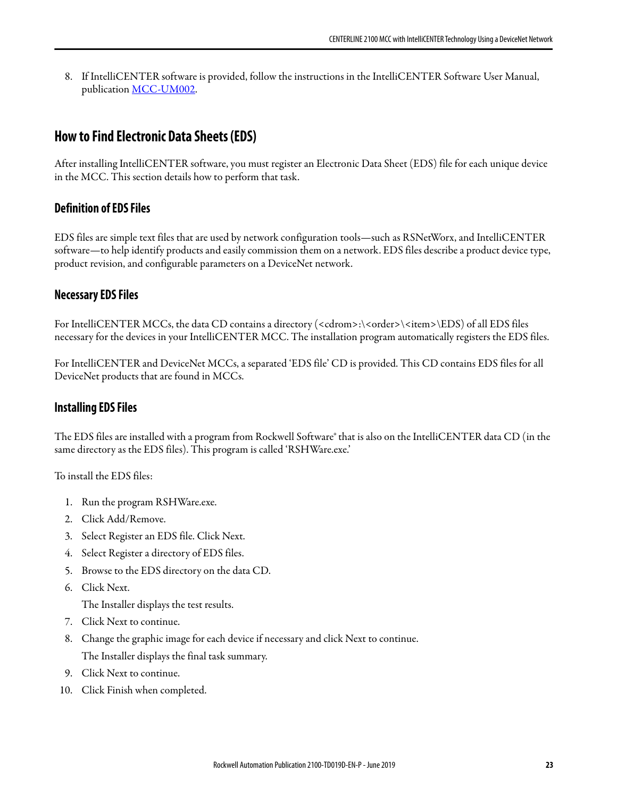8. If IntelliCENTER software is provided, follow the instructions in the IntelliCENTER Software User Manual, publication [MCC-UM002.](https://literature.rockwellautomation.com/idc/groups/literature/documents/um/mcc-um002_-en-p.pdf)

# <span id="page-22-0"></span>**How to Find Electronic Data Sheets (EDS)**

After installing IntelliCENTER software, you must register an Electronic Data Sheet (EDS) file for each unique device in the MCC. This section details how to perform that task.

### **Definition of EDS Files**

EDS files are simple text files that are used by network configuration tools—such as RSNetWorx, and IntelliCENTER software—to help identify products and easily commission them on a network. EDS files describe a product device type, product revision, and configurable parameters on a DeviceNet network.

### **Necessary EDS Files**

For IntelliCENTER MCCs, the data CD contains a directory (<cdrom>:\<order>\<item>\EDS) of all EDS files necessary for the devices in your IntelliCENTER MCC. The installation program automatically registers the EDS files.

For IntelliCENTER and DeviceNet MCCs, a separated 'EDS file' CD is provided. This CD contains EDS files for all DeviceNet products that are found in MCCs.

### **Installing EDS Files**

The EDS files are installed with a program from Rockwell Software® that is also on the IntelliCENTER data CD (in the same directory as the EDS files). This program is called 'RSHWare.exe.'

To install the EDS files:

- 1. Run the program RSHWare.exe.
- 2. Click Add/Remove.
- 3. Select Register an EDS file. Click Next.
- 4. Select Register a directory of EDS files.
- 5. Browse to the EDS directory on the data CD.
- 6. Click Next.

The Installer displays the test results.

- 7. Click Next to continue.
- 8. Change the graphic image for each device if necessary and click Next to continue. The Installer displays the final task summary.
- 9. Click Next to continue.
- 10. Click Finish when completed.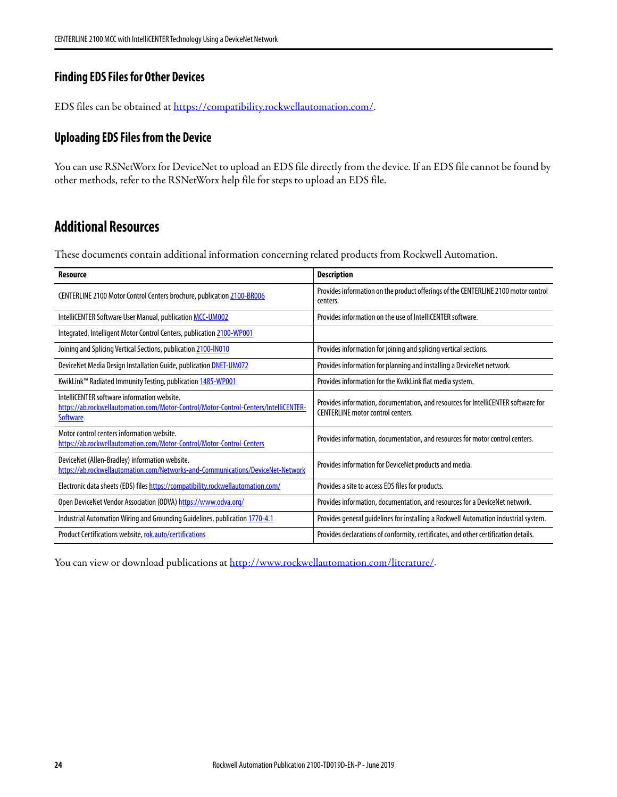# **Finding EDS Files for Other Devices**

EDS files can be obtained at [https://compatibility.rockwellautomation.com/.](https://compatibility.rockwellautomation.com/)

### **Uploading EDS Files from the Device**

You can use RSNetWorx for DeviceNet to upload an EDS file directly from the device. If an EDS file cannot be found by other methods, refer to the RSNetWorx help file for steps to upload an EDS file.

# <span id="page-23-0"></span>**Additional Resources**

These documents contain additional information concerning related products from Rockwell Automation.

| <b>Resource</b>                                                                                                                                        | <b>Description</b>                                                                                                            |
|--------------------------------------------------------------------------------------------------------------------------------------------------------|-------------------------------------------------------------------------------------------------------------------------------|
| CENTERLINE 2100 Motor Control Centers brochure, publication 2100-BR006                                                                                 | Provides information on the product offerings of the CENTERLINE 2100 motor control<br>centers.                                |
| IntelliCENTER Software User Manual, publication MCC-UM002                                                                                              | Provides information on the use of IntelliCENTER software.                                                                    |
| Integrated, Intelligent Motor Control Centers, publication 2100-WP001                                                                                  |                                                                                                                               |
| Joining and Splicing Vertical Sections, publication 2100-IN010                                                                                         | Provides information for joining and splicing vertical sections.                                                              |
| DeviceNet Media Design Installation Guide, publication <b>DNET-UM072</b>                                                                               | Provides information for planning and installing a DeviceNet network.                                                         |
| KwikLink <sup>™</sup> Radiated Immunity Testing, publication 1485-WP001                                                                                | Provides information for the KwikLink flat media system.                                                                      |
| IntelliCFNTFR software information website.<br>https://ab.rockwellautomation.com/Motor-Control/Motor-Control-Centers/IntelliCENTER-<br><b>Software</b> | Provides information, documentation, and resources for IntelliCENTER software for<br><b>CENTERLINE motor control centers.</b> |
| Motor control centers information website.<br>https://ab.rockwellautomation.com/Motor-Control/Motor-Control-Centers                                    | Provides information, documentation, and resources for motor control centers.                                                 |
| DeviceNet (Allen-Bradley) information website.<br>https://ab.rockwellautomation.com/Networks-and-Communications/DeviceNet-Network                      | Provides information for DeviceNet products and media.                                                                        |
| Electronic data sheets (EDS) files https://compatibility.rockwellautomation.com/                                                                       | Provides a site to access EDS files for products.                                                                             |
| Open DeviceNet Vendor Association (ODVA) https://www.odva.org/                                                                                         | Provides information, documentation, and resources for a DeviceNet network.                                                   |
| Industrial Automation Wiring and Grounding Guidelines, publication 1770-4.1                                                                            | Provides general quidelines for installing a Rockwell Automation industrial system.                                           |
| Product Certifications website, rok.auto/certifications                                                                                                | Provides declarations of conformity, certificates, and other certification details.                                           |

You can view or download publications at<http://www.rockwellautomation.com/literature/>.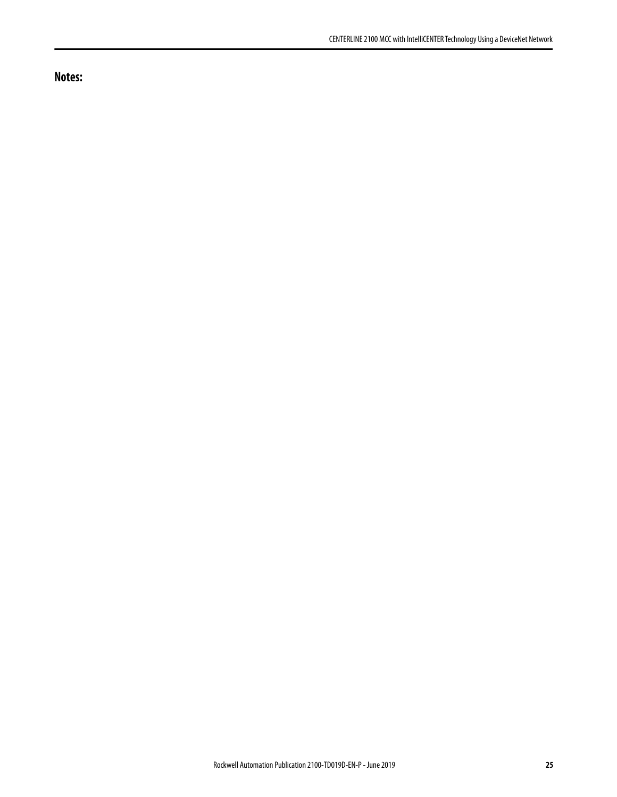**Notes:**